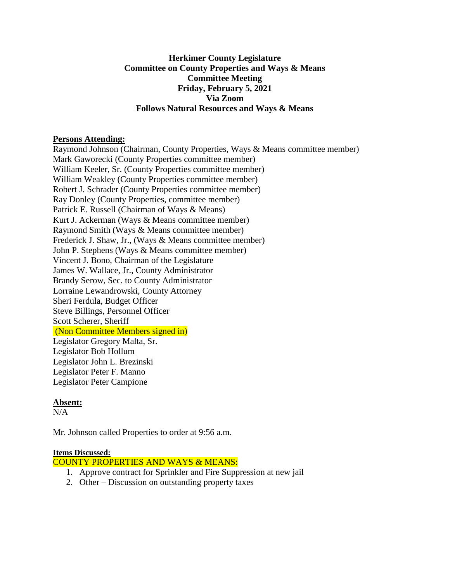### **Herkimer County Legislature Committee on County Properties and Ways & Means Committee Meeting Friday, February 5, 2021 Via Zoom Follows Natural Resources and Ways & Means**

#### **Persons Attending:**

Raymond Johnson (Chairman, County Properties, Ways & Means committee member) Mark Gaworecki (County Properties committee member) William Keeler, Sr. (County Properties committee member) William Weakley (County Properties committee member) Robert J. Schrader (County Properties committee member) Ray Donley (County Properties, committee member) Patrick E. Russell (Chairman of Ways & Means) Kurt J. Ackerman (Ways & Means committee member) Raymond Smith (Ways & Means committee member) Frederick J. Shaw, Jr., (Ways & Means committee member) John P. Stephens (Ways & Means committee member) Vincent J. Bono, Chairman of the Legislature James W. Wallace, Jr., County Administrator Brandy Serow, Sec. to County Administrator Lorraine Lewandrowski, County Attorney Sheri Ferdula, Budget Officer Steve Billings, Personnel Officer Scott Scherer, Sheriff (Non Committee Members signed in) Legislator Gregory Malta, Sr. Legislator Bob Hollum Legislator John L. Brezinski Legislator Peter F. Manno Legislator Peter Campione

### **Absent:**

 $N/A$ 

Mr. Johnson called Properties to order at 9:56 a.m.

### **Items Discussed:**

COUNTY PROPERTIES AND WAYS & MEANS:

- 1. Approve contract for Sprinkler and Fire Suppression at new jail
- 2. Other Discussion on outstanding property taxes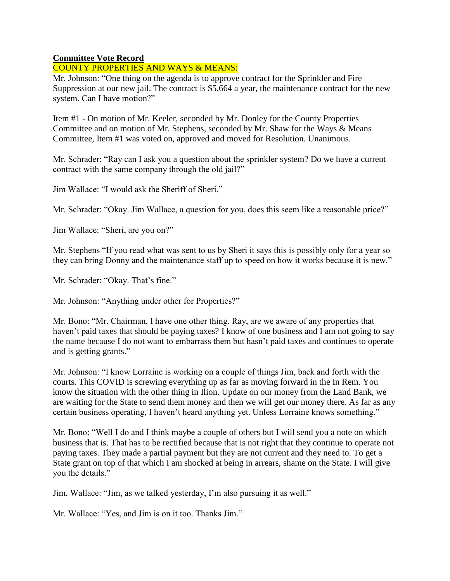# **Committee Vote Record**

# COUNTY PROPERTIES AND WAYS & MEANS:

Mr. Johnson: "One thing on the agenda is to approve contract for the Sprinkler and Fire Suppression at our new jail. The contract is \$5,664 a year, the maintenance contract for the new system. Can I have motion?"

Item #1 - On motion of Mr. Keeler, seconded by Mr. Donley for the County Properties Committee and on motion of Mr. Stephens, seconded by Mr. Shaw for the Ways & Means Committee, Item #1 was voted on, approved and moved for Resolution. Unanimous.

Mr. Schrader: "Ray can I ask you a question about the sprinkler system? Do we have a current contract with the same company through the old jail?"

Jim Wallace: "I would ask the Sheriff of Sheri."

Mr. Schrader: "Okay. Jim Wallace, a question for you, does this seem like a reasonable price?"

Jim Wallace: "Sheri, are you on?"

Mr. Stephens "If you read what was sent to us by Sheri it says this is possibly only for a year so they can bring Donny and the maintenance staff up to speed on how it works because it is new."

Mr. Schrader: "Okay. That's fine."

Mr. Johnson: "Anything under other for Properties?"

Mr. Bono: "Mr. Chairman, I have one other thing. Ray, are we aware of any properties that haven't paid taxes that should be paying taxes? I know of one business and I am not going to say the name because I do not want to embarrass them but hasn't paid taxes and continues to operate and is getting grants."

Mr. Johnson: "I know Lorraine is working on a couple of things Jim, back and forth with the courts. This COVID is screwing everything up as far as moving forward in the In Rem. You know the situation with the other thing in Ilion. Update on our money from the Land Bank, we are waiting for the State to send them money and then we will get our money there. As far as any certain business operating, I haven't heard anything yet. Unless Lorraine knows something."

Mr. Bono: "Well I do and I think maybe a couple of others but I will send you a note on which business that is. That has to be rectified because that is not right that they continue to operate not paying taxes. They made a partial payment but they are not current and they need to. To get a State grant on top of that which I am shocked at being in arrears, shame on the State. I will give you the details."

Jim. Wallace: "Jim, as we talked yesterday, I'm also pursuing it as well."

Mr. Wallace: "Yes, and Jim is on it too. Thanks Jim."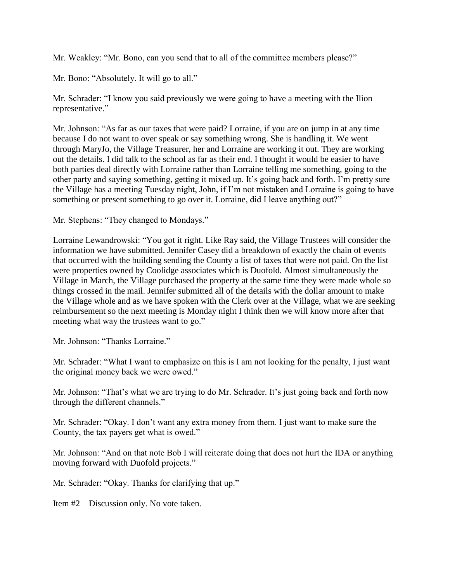Mr. Weakley: "Mr. Bono, can you send that to all of the committee members please?"

Mr. Bono: "Absolutely. It will go to all."

Mr. Schrader: "I know you said previously we were going to have a meeting with the Ilion representative."

Mr. Johnson: "As far as our taxes that were paid? Lorraine, if you are on jump in at any time because I do not want to over speak or say something wrong. She is handling it. We went through MaryJo, the Village Treasurer, her and Lorraine are working it out. They are working out the details. I did talk to the school as far as their end. I thought it would be easier to have both parties deal directly with Lorraine rather than Lorraine telling me something, going to the other party and saying something, getting it mixed up. It's going back and forth. I'm pretty sure the Village has a meeting Tuesday night, John, if I'm not mistaken and Lorraine is going to have something or present something to go over it. Lorraine, did I leave anything out?"

Mr. Stephens: "They changed to Mondays."

Lorraine Lewandrowski: "You got it right. Like Ray said, the Village Trustees will consider the information we have submitted. Jennifer Casey did a breakdown of exactly the chain of events that occurred with the building sending the County a list of taxes that were not paid. On the list were properties owned by Coolidge associates which is Duofold. Almost simultaneously the Village in March, the Village purchased the property at the same time they were made whole so things crossed in the mail. Jennifer submitted all of the details with the dollar amount to make the Village whole and as we have spoken with the Clerk over at the Village, what we are seeking reimbursement so the next meeting is Monday night I think then we will know more after that meeting what way the trustees want to go."

Mr. Johnson: "Thanks Lorraine."

Mr. Schrader: "What I want to emphasize on this is I am not looking for the penalty, I just want the original money back we were owed."

Mr. Johnson: "That's what we are trying to do Mr. Schrader. It's just going back and forth now through the different channels."

Mr. Schrader: "Okay. I don't want any extra money from them. I just want to make sure the County, the tax payers get what is owed."

Mr. Johnson: "And on that note Bob I will reiterate doing that does not hurt the IDA or anything moving forward with Duofold projects."

Mr. Schrader: "Okay. Thanks for clarifying that up."

Item #2 – Discussion only. No vote taken.